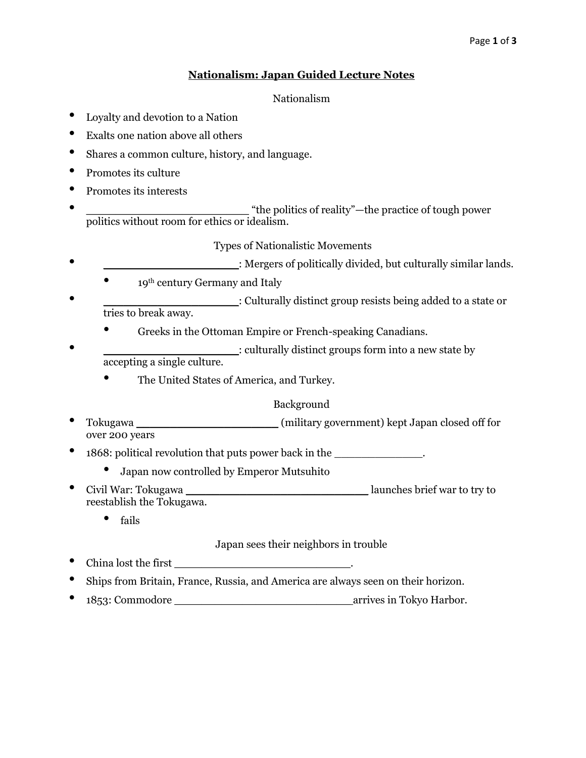#### Page **1** of **3**

### **Nationalism: Japan Guided Lecture Notes**

### Nationalism

- Loyalty and devotion to a Nation
- Exalts one nation above all others
- Shares a common culture, history, and language.
- Promotes its culture
- Promotes its interests
- **\_\_\_\_\_\_\_\_\_\_\_\_\_\_\_\_\_\_\_\_\_\_** "the politics of reality"—the practice of tough power politics without room for ethics or idealism.

### Types of Nationalistic Movements

- \_\_\_\_\_\_\_\_\_\_\_\_\_\_\_\_\_\_\_\_: Mergers of politically divided, but culturally similar lands.
	- 19<sup>th</sup> century Germany and Italy
- : Culturally distinct group resists being added to a state or tries to break away.
	- Greeks in the Ottoman Empire or French-speaking Canadians.
- \_\_\_\_\_\_\_\_\_\_\_\_\_\_\_\_\_\_\_\_: culturally distinct groups form into a new state by accepting a single culture.
	- The United States of America, and Turkey.

## Background

- Tokugawa \_\_\_\_\_\_\_\_\_\_\_\_\_\_\_\_\_\_\_\_\_ (military government) kept Japan closed off for over 200 years
- 1868: political revolution that puts power back in the \_\_\_\_\_\_\_\_\_\_\_\_\_\_.
	- Japan now controlled by Emperor Mutsuhito
- Civil War: Tokugawa \_\_\_\_\_\_\_\_\_\_\_\_\_\_\_\_\_\_\_\_\_\_\_\_\_\_\_ launches brief war to try to reestablish the Tokugawa.
	- fails

## Japan sees their neighbors in trouble

- China lost the first
- Ships from Britain, France, Russia, and America are always seen on their horizon.
- 1853: Commodore \_\_\_\_\_\_\_\_\_\_\_\_\_\_\_\_\_\_\_\_\_\_\_\_\_\_ arrives in Tokyo Harbor.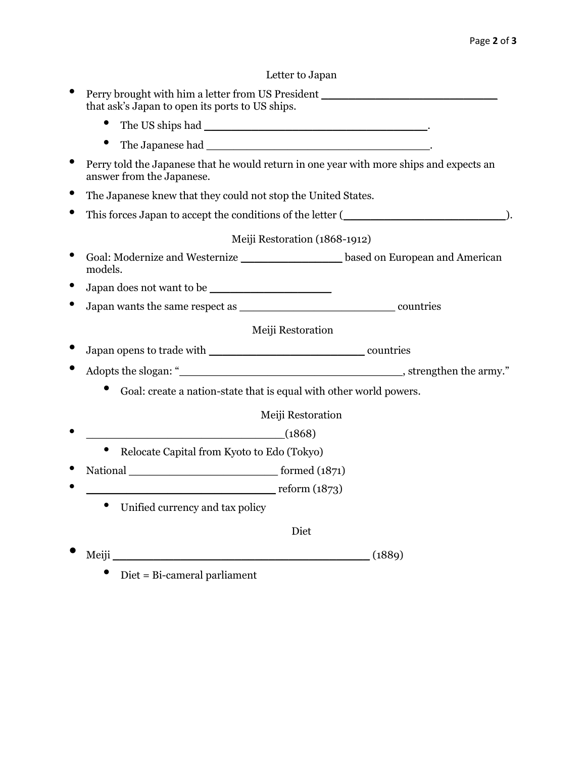# Letter to Japan

| that ask's Japan to open its ports to US ships.               | Perry brought with him a letter from US President ______________________________        |
|---------------------------------------------------------------|-----------------------------------------------------------------------------------------|
| $\bullet$                                                     |                                                                                         |
|                                                               |                                                                                         |
| answer from the Japanese.                                     | Perry told the Japanese that he would return in one year with more ships and expects an |
| The Japanese knew that they could not stop the United States. |                                                                                         |
|                                                               |                                                                                         |
|                                                               | Meiji Restoration (1868-1912)                                                           |
| models.                                                       | Goal: Modernize and Westernize _____________________based on European and American      |
|                                                               |                                                                                         |
|                                                               |                                                                                         |
|                                                               | Meiji Restoration                                                                       |
|                                                               |                                                                                         |
|                                                               |                                                                                         |
|                                                               | Goal: create a nation-state that is equal with other world powers.                      |
|                                                               | Meiji Restoration                                                                       |
| (1868)                                                        |                                                                                         |
| Relocate Capital from Kyoto to Edo (Tokyo)                    |                                                                                         |
|                                                               |                                                                                         |
| reform (1873)                                                 |                                                                                         |
| $\bullet$<br>Unified currency and tax policy                  |                                                                                         |
|                                                               | Diet                                                                                    |
|                                                               | Meiji $(1889)$                                                                          |

 $\bullet$  Diet = Bi-cameral parliament